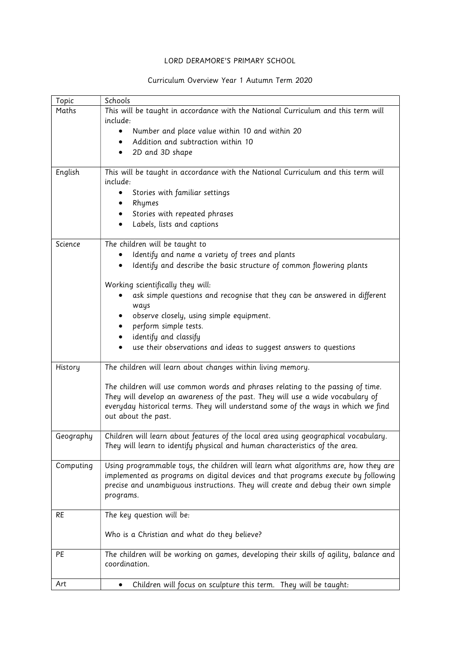## LORD DERAMORE'S PRIMARY SCHOOL

## Curriculum Overview Year 1 Autumn Term 2020

| Topic     | Schools                                                                                |
|-----------|----------------------------------------------------------------------------------------|
| Maths     | This will be taught in accordance with the National Curriculum and this term will      |
|           | include:                                                                               |
|           | Number and place value within 10 and within 20                                         |
|           | Addition and subtraction within 10                                                     |
|           | 2D and 3D shape                                                                        |
| English   | This will be taught in accordance with the National Curriculum and this term will      |
|           | include:                                                                               |
|           | Stories with familiar settings                                                         |
|           | Rhymes                                                                                 |
|           | Stories with repeated phrases                                                          |
|           | Labels, lists and captions                                                             |
|           |                                                                                        |
| Science   | The children will be taught to                                                         |
|           | Identify and name a variety of trees and plants                                        |
|           | Identify and describe the basic structure of common flowering plants                   |
|           | Working scientifically they will:                                                      |
|           | ask simple questions and recognise that they can be answered in different              |
|           | ways                                                                                   |
|           | observe closely, using simple equipment.                                               |
|           | perform simple tests.                                                                  |
|           | identify and classify                                                                  |
|           | use their observations and ideas to suggest answers to questions                       |
|           |                                                                                        |
| History   | The children will learn about changes within living memory.                            |
|           | The children will use common words and phrases relating to the passing of time.        |
|           | They will develop an awareness of the past. They will use a wide vocabulary of         |
|           | everyday historical terms. They will understand some of the ways in which we find      |
|           | out about the past.                                                                    |
| Geography | Children will learn about features of the local area using geographical vocabulary.    |
|           | They will learn to identify physical and human characteristics of the area.            |
|           |                                                                                        |
| Computing | Using programmable toys, the children will learn what algorithms are, how they are     |
|           | implemented as programs on digital devices and that programs execute by following      |
|           | precise and unambiguous instructions. They will create and debug their own simple      |
|           | programs.                                                                              |
| <b>RE</b> | The key question will be:                                                              |
|           |                                                                                        |
|           | Who is a Christian and what do they believe?                                           |
|           |                                                                                        |
| PE        | The children will be working on games, developing their skills of agility, balance and |
|           | coordination.                                                                          |
|           |                                                                                        |
| Art       | Children will focus on sculpture this term. They will be taught:                       |